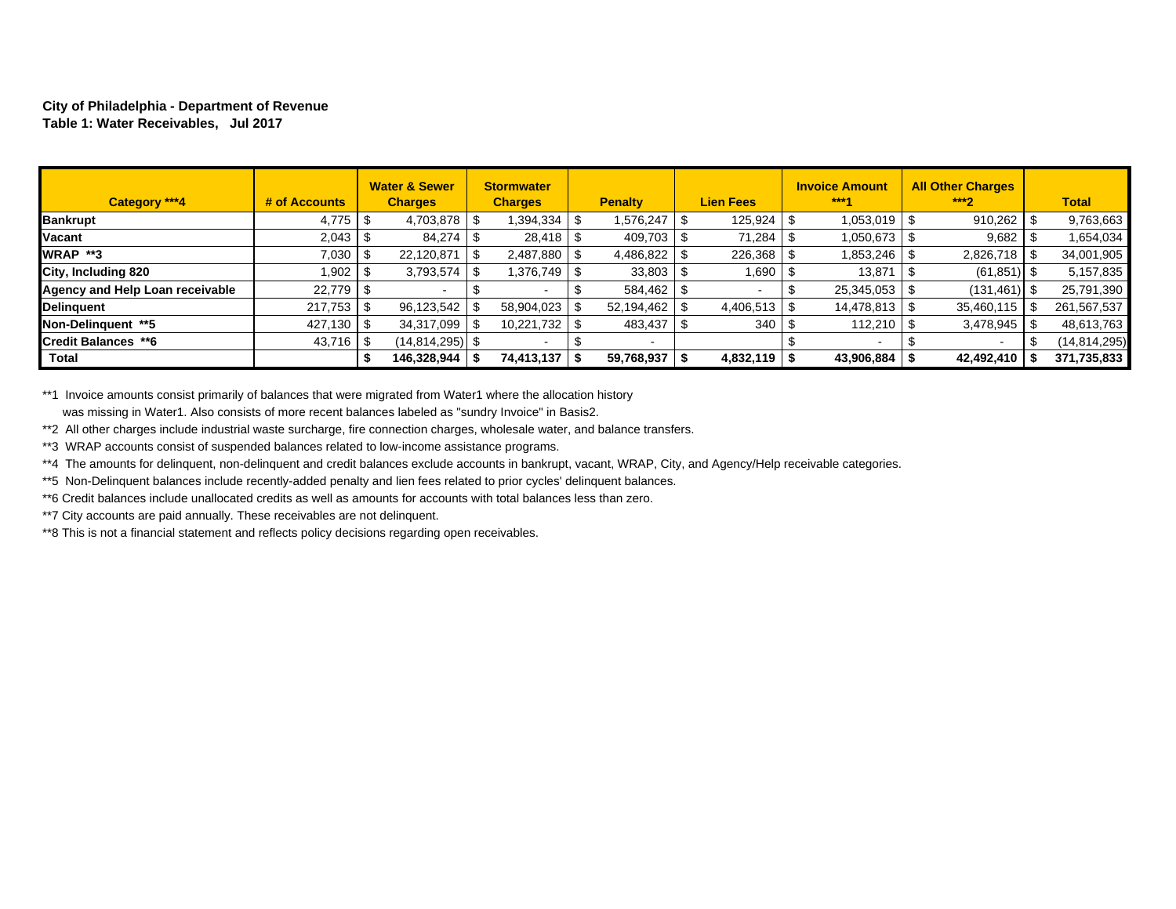## **City of Philadelphia - Department of Revenue Table 1: Water Receivables, Jul 2017**

| Category ***4                   | # of Accounts  |      | <b>Water &amp; Sewer</b><br><b>Charges</b> |      | <b>Stormwater</b><br><b>Charges</b> |  | <b>Penalty</b>           |      | <b>Lien Fees</b> |  | <b>Invoice Amount</b><br>$***4$ |  | <b>All Other Charges</b><br>$***2$ | <b>Total</b> |              |
|---------------------------------|----------------|------|--------------------------------------------|------|-------------------------------------|--|--------------------------|------|------------------|--|---------------------------------|--|------------------------------------|--------------|--------------|
| <b>Bankrupt</b>                 | 4,775          | - 36 | $4,703,878$ \ \ \$                         |      | 394,334                             |  | 1,576,247                | - 95 | 125,924          |  | 1,053,019                       |  | 910,262                            |              | 9,763,663    |
| Vacant                          |                |      | 84,274                                     |      | 28,418                              |  | 409,703                  |      | 71,284           |  | 1,050,673                       |  | 9,682                              |              | 1,654,034    |
| WRAP **3                        | 7,030          |      | 22,120,871                                 | - \$ | 2,487,880                           |  | 4,486,822                |      | 226,368          |  | 1,853,246                       |  | 2,826,718                          |              | 34,001,905   |
| City, Including 820             | 1,902          |      | 3,793,574                                  | - \$ | 376,749                             |  | 33,803                   | - 95 | 690. ا           |  | 13,871                          |  | (61, 851)                          | - \$         | 5,157,835    |
| Agency and Help Loan receivable | 22,779 \$      |      |                                            |      |                                     |  | 584,462                  |      |                  |  | 25,345,053                      |  | (131, 461)                         |              | 25,791,390   |
| Delinquent                      | 217,753        |      | 96,123,542                                 |      | 58,904,023                          |  | 52,194,462               |      |                  |  | 14,478,813                      |  | 35,460,115                         |              | 261,567,537  |
| Non-Delinauent **5              | $427,130$   \$ |      | 34,317,099                                 |      | 10,221,732                          |  | 483,437                  | - 95 | 340              |  | 112,210                         |  | 3,478,945                          |              | 48,613,763   |
| Credit Balances **6             | 43,716         |      | $(14, 814, 295)$ \$                        |      |                                     |  | $\overline{\phantom{a}}$ |      |                  |  |                                 |  |                                    |              | (14,814,295) |
| <b>Total</b>                    |                |      | 146,328,944                                |      | 74,413,137                          |  | 59,768,937               | - 5  | $4,832,119$ \\$  |  | 43,906,884                      |  | 42,492,410                         |              | 371,735,833  |

\*\*1 Invoice amounts consist primarily of balances that were migrated from Water1 where the allocation history

was missing in Water1. Also consists of more recent balances labeled as "sundry Invoice" in Basis2.

\*\*2 All other charges include industrial waste surcharge, fire connection charges, wholesale water, and balance transfers.

\*\*3 WRAP accounts consist of suspended balances related to low-income assistance programs.

\*\*4 The amounts for delinquent, non-delinquent and credit balances exclude accounts in bankrupt, vacant, WRAP, City, and Agency/Help receivable categories.

\*\*5 Non-Delinquent balances include recently-added penalty and lien fees related to prior cycles' delinquent balances.

\*\*6 Credit balances include unallocated credits as well as amounts for accounts with total balances less than zero.

\*\*7 City accounts are paid annually. These receivables are not delinquent.

\*\*8 This is not a financial statement and reflects policy decisions regarding open receivables.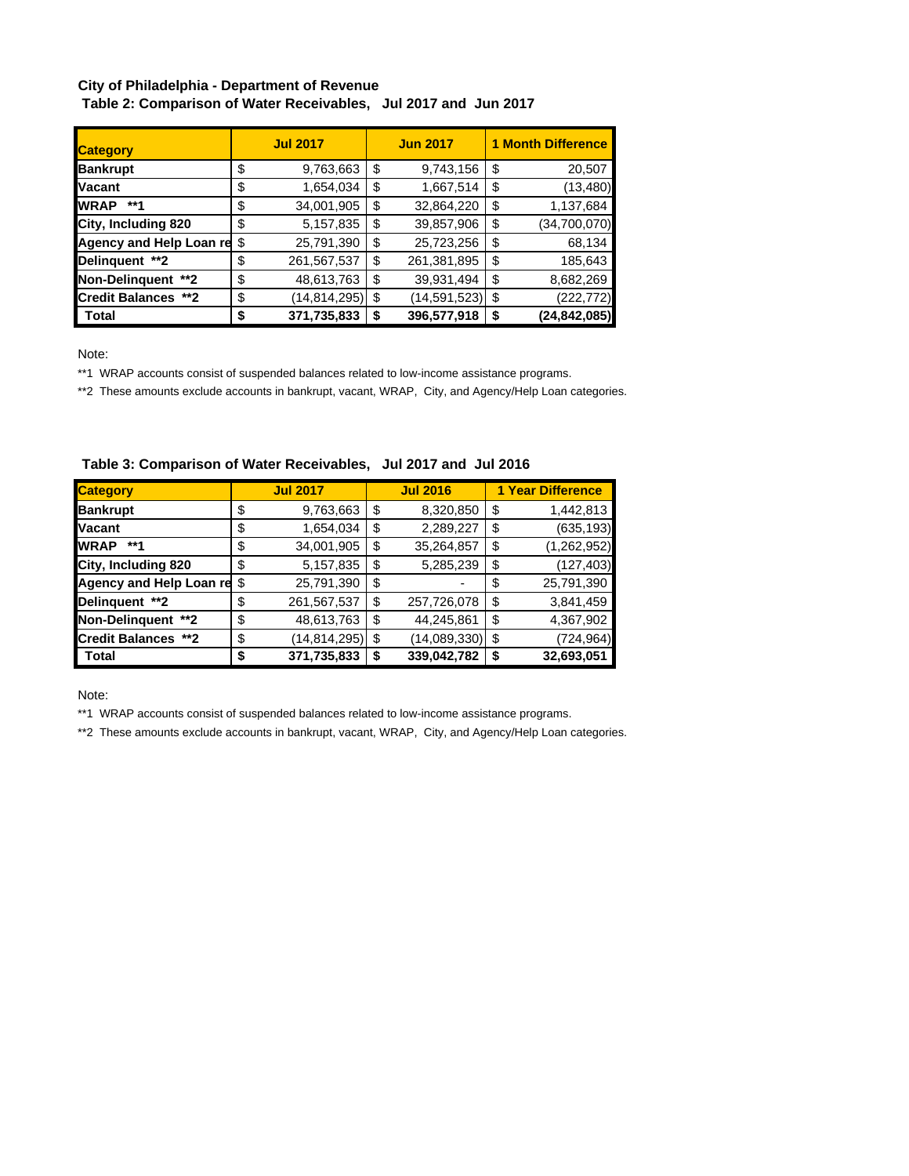## **City of Philadelphia - Department of Revenue**

 **Table 2: Comparison of Water Receivables, Jul 2017 and Jun 2017**

| <b>Category</b>            |    | <b>Jul 2017</b> | <b>Jun 2017</b>           | <b>1 Month Difference</b> |              |  |  |  |
|----------------------------|----|-----------------|---------------------------|---------------------------|--------------|--|--|--|
| <b>Bankrupt</b>            | \$ | 9,763,663       | \$<br>9,743,156           | \$                        | 20,507       |  |  |  |
| <b>Vacant</b>              | \$ | 1,654,034       | \$<br>1,667,514           | \$                        | (13, 480)    |  |  |  |
| <b>WRAP</b><br>**1         | \$ | 34,001,905      | \$<br>32,864,220          | \$                        | 1,137,684    |  |  |  |
| City, Including 820        | \$ | 5,157,835       | \$<br>39,857,906          | \$                        | (34,700,070) |  |  |  |
| Agency and Help Loan re \$ |    | 25,791,390      | \$<br>25,723,256          | \$                        | 68,134       |  |  |  |
| Delinquent **2             | \$ | 261,567,537     | \$<br>261,381,895         | \$                        | 185,643      |  |  |  |
| Non-Delinquent **2         | \$ | 48,613,763      | \$<br>39,931,494          | \$                        | 8,682,269    |  |  |  |
| <b>Credit Balances **2</b> | \$ | (14, 814, 295)  | \$<br>$(14, 591, 523)$ \$ |                           | (222,772)    |  |  |  |
| <b>Total</b>               | S  | 371,735,833     | \$<br>396,577,918         | \$                        | (24,842,085) |  |  |  |

Note:

\*\*1 WRAP accounts consist of suspended balances related to low-income assistance programs.

\*\*2 These amounts exclude accounts in bankrupt, vacant, WRAP, City, and Agency/Help Loan categories.

| <b>Category</b>               |    | <b>Jul 2017</b> |    | <b>Jul 2016</b>   | <b>1 Year Difference</b> |               |  |  |  |
|-------------------------------|----|-----------------|----|-------------------|--------------------------|---------------|--|--|--|
| <b>Bankrupt</b>               | \$ | 9,763,663       | \$ | 8,320,850         | \$                       | 1,442,813     |  |  |  |
| <b>Vacant</b>                 | \$ | 1,654,034       | \$ | 2,289,227         | \$                       | (635, 193)    |  |  |  |
| <b>WRAP</b><br>**1            | \$ | 34,001,905      | \$ | 35,264,857        | \$                       | (1, 262, 952) |  |  |  |
| City, Including 820           | \$ | 5,157,835       | \$ | 5,285,239         | \$                       | (127, 403)    |  |  |  |
| Agency and Help Loan re \$    |    | 25,791,390      | \$ |                   | \$                       | 25,791,390    |  |  |  |
| Delinquent **2                | \$ | 261,567,537     | \$ | 257,726,078       | \$                       | 3,841,459     |  |  |  |
| Non-Delinguent **2            | \$ | 48,613,763      | \$ | 44,245,861        | \$                       | 4,367,902     |  |  |  |
| <b>Credit Balances</b><br>**2 | \$ | (14,814,295)    | \$ | $(14,089,330)$ \$ |                          | (724, 964)    |  |  |  |
| Total                         | S  | 371,735,833     | S  | 339,042,782       | \$                       | 32,693,051    |  |  |  |

 **Table 3: Comparison of Water Receivables, Jul 2017 and Jul 2016**

Note:

\*\*1 WRAP accounts consist of suspended balances related to low-income assistance programs.

\*\*2 These amounts exclude accounts in bankrupt, vacant, WRAP, City, and Agency/Help Loan categories.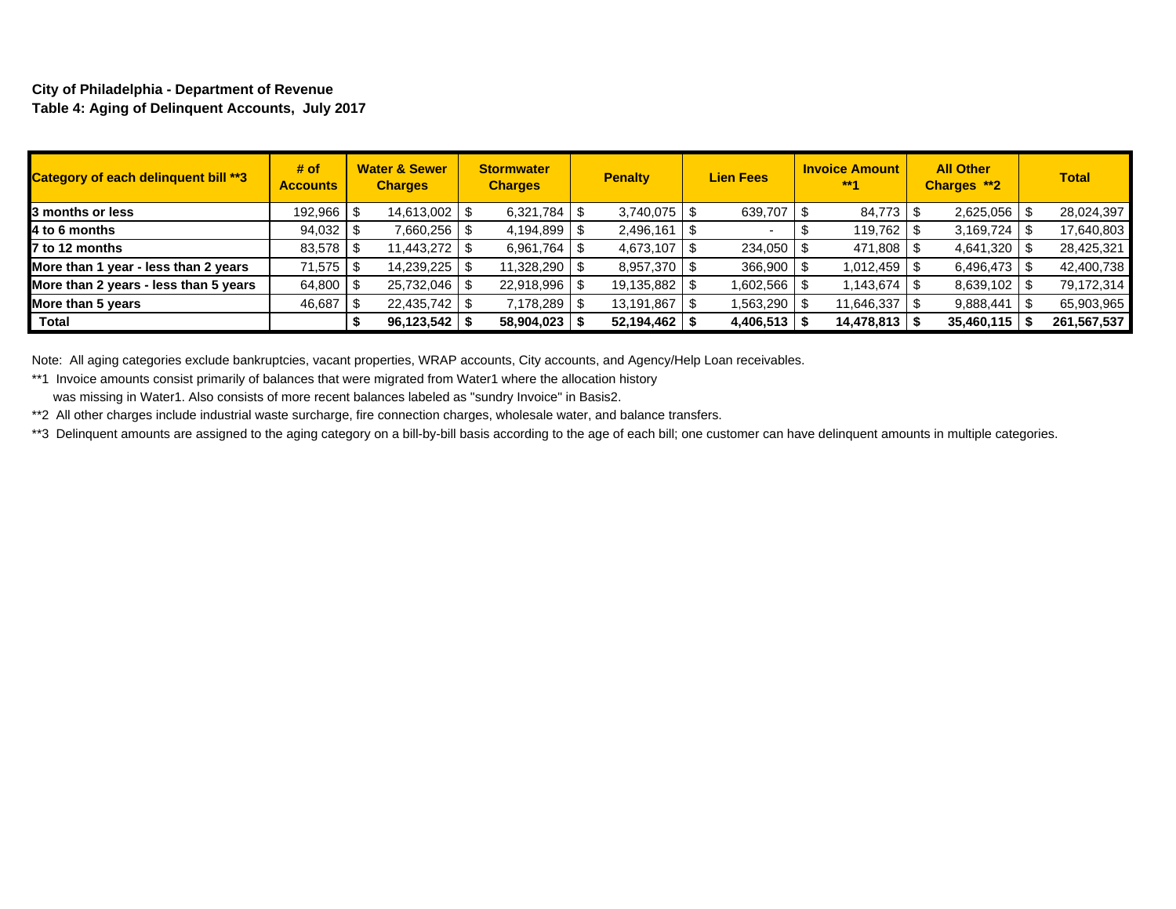## **City of Philadelphia - Department of Revenue Table 4: Aging of Delinquent Accounts, July 2017**

| <b>Category of each delinquent bill **3</b> | # of<br><b>Accounts</b> |      | <b>Water &amp; Sewer</b><br><b>Charges</b> | <b>Stormwater</b><br><b>Charges</b> | <b>Penalty</b>     | <b>Lien Fees</b> | <b>Invoice Amount</b><br>$***1$ | <b>All Other</b><br>Charges **2 | <b>Total</b> |
|---------------------------------------------|-------------------------|------|--------------------------------------------|-------------------------------------|--------------------|------------------|---------------------------------|---------------------------------|--------------|
| 3 months or less                            | 192,966                 | - S  | 14,613,002   \$                            |                                     | 3,740,075          | 639,707 \$       | 84,773 \$                       | $2,625,056$ \$                  | 28,024,397   |
| 4 to 6 months                               | $94,032$ \$             |      | 7,660,256   \$                             | $4,194,899$ \ \$                    | 2,496,161          |                  | $119,762$ \ \$                  |                                 | 17,640,803   |
| $\blacksquare$ 7 to 12 months               | 83,578                  | - \$ | 11,443,272   \$                            |                                     | $4,673,107$ \ \$   | $234,050$ \ \$   | 471,808 \$                      | $4,641,320$ \\$                 | 28,425,321   |
| More than 1 year - less than 2 years        | 71,575                  | - \$ | 14,239,225                                 | 11,328,290   \$                     | $8,957,370$ \ \ \$ | $366,900$ \$     | : ∥ 1.012,459                   | $6,496,473$ \$                  | 42,400,738   |
| More than 2 years - less than 5 years       | 64,800                  |      | 25,732,046   \$                            | 22,918,996 \$                       | 19,135,882         | 1,602,566   \$   | 1,143,674 S                     | $8,639,102$ \$                  | 79,172,314   |
| More than 5 years                           | 46,687                  |      | 22,435,742 \$                              | 7,178,289 \$                        | 13,191,867         | 1,563,290 \$     | 11,646,337                      | $9,888,441$ \\$                 | 65,903,965   |
| <b>Total</b>                                |                         |      | 96,123,542                                 | $58,904,023$ \$                     | 52,194,462         | 4,406,513        | 14,478,813                      | $35,460,115$   \$               | 261,567,537  |

Note: All aging categories exclude bankruptcies, vacant properties, WRAP accounts, City accounts, and Agency/Help Loan receivables.

\*\*1 Invoice amounts consist primarily of balances that were migrated from Water1 where the allocation history

was missing in Water1. Also consists of more recent balances labeled as "sundry Invoice" in Basis2.

\*\*2 All other charges include industrial waste surcharge, fire connection charges, wholesale water, and balance transfers.

\*\*3 Delinquent amounts are assigned to the aging category on a bill-by-bill basis according to the age of each bill; one customer can have delinquent amounts in multiple categories.